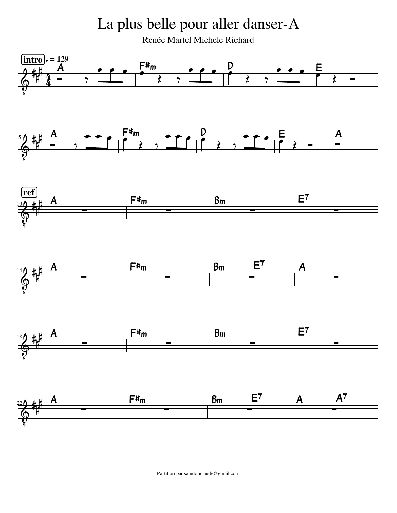La plus belle pour aller danser-A

Renée Martel Michele Richard